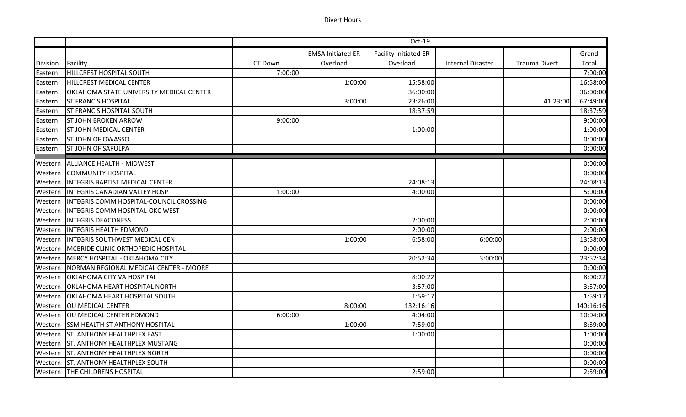|                 |                                          | Oct-19  |                          |                              |                          |                      |           |
|-----------------|------------------------------------------|---------|--------------------------|------------------------------|--------------------------|----------------------|-----------|
|                 |                                          |         | <b>EMSA Initiated ER</b> | <b>Facility Initiated ER</b> |                          |                      | Grand     |
| <b>Division</b> | Facility                                 | CT Down | Overload                 | Overload                     | <b>Internal Disaster</b> | <b>Trauma Divert</b> | Total     |
| Eastern         | HILLCREST HOSPITAL SOUTH                 | 7:00:00 |                          |                              |                          |                      | 7:00:00   |
| Eastern         | <b>HILLCREST MEDICAL CENTER</b>          |         | 1:00:00                  | 15:58:00                     |                          |                      | 16:58:00  |
| Eastern         | OKLAHOMA STATE UNIVERSITY MEDICAL CENTER |         |                          | 36:00:00                     |                          |                      | 36:00:00  |
| Eastern         | <b>ST FRANCIS HOSPITAL</b>               |         | 3:00:00                  | 23:26:00                     |                          | 41:23:00             | 67:49:00  |
| Eastern         | <b>ST FRANCIS HOSPITAL SOUTH</b>         |         |                          | 18:37:59                     |                          |                      | 18:37:59  |
| Eastern         | <b>ST JOHN BROKEN ARROW</b>              | 9:00:00 |                          |                              |                          |                      | 9:00:00   |
| Eastern         | <b>ST JOHN MEDICAL CENTER</b>            |         |                          | 1:00:00                      |                          |                      | 1:00:00   |
| Eastern         | <b>ST JOHN OF OWASSO</b>                 |         |                          |                              |                          |                      | 0:00:00   |
| Eastern         | <b>ST JOHN OF SAPULPA</b>                |         |                          |                              |                          |                      | 0:00:00   |
| Western         | ALLIANCE HEALTH - MIDWEST                |         |                          |                              |                          |                      | 0:00:00   |
| Western         | COMMUNITY HOSPITAL                       |         |                          |                              |                          |                      | 0:00:00   |
| Western         | <b>INTEGRIS BAPTIST MEDICAL CENTER</b>   |         |                          | 24:08:13                     |                          |                      | 24:08:13  |
| Western         | <b>INTEGRIS CANADIAN VALLEY HOSP</b>     | 1:00:00 |                          | 4:00:00                      |                          |                      | 5:00:00   |
| Western         | INTEGRIS COMM HOSPITAL-COUNCIL CROSSING  |         |                          |                              |                          |                      | 0:00:00   |
| Western         | <b>INTEGRIS COMM HOSPITAL-OKC WEST</b>   |         |                          |                              |                          |                      | 0:00:00   |
| Western         | <b>INTEGRIS DEACONESS</b>                |         |                          | 2:00:00                      |                          |                      | 2:00:00   |
| Western         | <b>INTEGRIS HEALTH EDMOND</b>            |         |                          | 2:00:00                      |                          |                      | 2:00:00   |
| Western         | <b>INTEGRIS SOUTHWEST MEDICAL CEN</b>    |         | 1:00:00                  | 6:58:00                      | 6:00:00                  |                      | 13:58:00  |
| Western         | MCBRIDE CLINIC ORTHOPEDIC HOSPITAL       |         |                          |                              |                          |                      | 0:00:00   |
| Western         | MERCY HOSPITAL - OKLAHOMA CITY           |         |                          | 20:52:34                     | 3:00:00                  |                      | 23:52:34  |
| Western         | NORMAN REGIONAL MEDICAL CENTER - MOORE   |         |                          |                              |                          |                      | 0:00:00   |
| Western         | <b>OKLAHOMA CITY VA HOSPITAL</b>         |         |                          | 8:00:22                      |                          |                      | 8:00:22   |
| Western         | <b>OKLAHOMA HEART HOSPITAL NORTH</b>     |         |                          | 3:57:00                      |                          |                      | 3:57:00   |
| Western         | <b>OKLAHOMA HEART HOSPITAL SOUTH</b>     |         |                          | 1:59:17                      |                          |                      | 1:59:17   |
| Western         | <b>OU MEDICAL CENTER</b>                 |         | 8:00:00                  | 132:16:16                    |                          |                      | 140:16:16 |
| Western         | OU MEDICAL CENTER EDMOND                 | 6:00:00 |                          | 4:04:00                      |                          |                      | 10:04:00  |
| Western         | <b>SSM HEALTH ST ANTHONY HOSPITAL</b>    |         | 1:00:00                  | 7:59:00                      |                          |                      | 8:59:00   |
| Western         | <b>ST. ANTHONY HEALTHPLEX EAST</b>       |         |                          | 1:00:00                      |                          |                      | 1:00:00   |
| Western         | <b>ST. ANTHONY HEALTHPLEX MUSTANG</b>    |         |                          |                              |                          |                      | 0:00:00   |
| Western         | <b>ST. ANTHONY HEALTHPLEX NORTH</b>      |         |                          |                              |                          |                      | 0:00:00   |
| Western         | <b>ST. ANTHONY HEALTHPLEX SOUTH</b>      |         |                          |                              |                          |                      | 0:00:00   |
|                 | Western   THE CHILDRENS HOSPITAL         |         |                          | 2:59:00                      |                          |                      | 2:59:00   |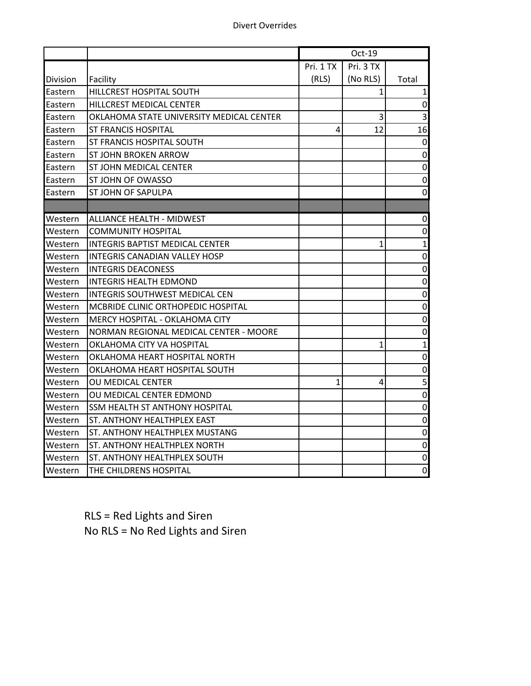|                |                                          |           | Oct-19    |                  |
|----------------|------------------------------------------|-----------|-----------|------------------|
|                |                                          | Pri. 1 TX | Pri. 3 TX |                  |
| Division       | Facility                                 | (RLS)     | (No RLS)  | Total            |
| Eastern        | HILLCREST HOSPITAL SOUTH                 |           | 1         | $\mathbf{1}$     |
| <b>Eastern</b> | HILLCREST MEDICAL CENTER                 |           |           | $\boldsymbol{0}$ |
| Eastern        | OKLAHOMA STATE UNIVERSITY MEDICAL CENTER |           | 3         | 3                |
| Eastern        | ST FRANCIS HOSPITAL                      | 4         | 12        | 16               |
| Eastern        | ST FRANCIS HOSPITAL SOUTH                |           |           | 0                |
| Eastern        | ST JOHN BROKEN ARROW                     |           |           | $\boldsymbol{0}$ |
| Eastern        | ST JOHN MEDICAL CENTER                   |           |           | $\boldsymbol{0}$ |
| Eastern        | ST JOHN OF OWASSO                        |           |           | 0                |
| Eastern        | ST JOHN OF SAPULPA                       |           |           | 0                |
|                |                                          |           |           |                  |
| Western        | <b>ALLIANCE HEALTH - MIDWEST</b>         |           |           | 0                |
| Western        | <b>COMMUNITY HOSPITAL</b>                |           |           | 0                |
| Western        | <b>INTEGRIS BAPTIST MEDICAL CENTER</b>   |           | 1         | $\mathbf{1}$     |
| Western        | INTEGRIS CANADIAN VALLEY HOSP            |           |           | 0                |
| Western        | <b>INTEGRIS DEACONESS</b>                |           |           | $\boldsymbol{0}$ |
| Western        | <b>INTEGRIS HEALTH EDMOND</b>            |           |           | $\mathbf 0$      |
| Western        | INTEGRIS SOUTHWEST MEDICAL CEN           |           |           | 0                |
| Western        | MCBRIDE CLINIC ORTHOPEDIC HOSPITAL       |           |           | $\boldsymbol{0}$ |
| Western        | MERCY HOSPITAL - OKLAHOMA CITY           |           |           | $\mathbf 0$      |
| Western        | NORMAN REGIONAL MEDICAL CENTER - MOORE   |           |           | 0                |
| Western        | OKLAHOMA CITY VA HOSPITAL                |           | 1         | $\mathbf{1}$     |
| Western        | OKLAHOMA HEART HOSPITAL NORTH            |           |           | 0                |
| Western        | OKLAHOMA HEART HOSPITAL SOUTH            |           |           | $\pmb{0}$        |
| Western        | OU MEDICAL CENTER                        | 1         | 4         | 5                |
| Western        | OU MEDICAL CENTER EDMOND                 |           |           | 0                |
| Western        | SSM HEALTH ST ANTHONY HOSPITAL           |           |           | $\pmb{0}$        |
| Western        | ST. ANTHONY HEALTHPLEX EAST              |           |           | $\pmb{0}$        |
| Western        | ST. ANTHONY HEALTHPLEX MUSTANG           |           |           | $\pmb{0}$        |
| Western        | ST. ANTHONY HEALTHPLEX NORTH             |           |           | $\mathbf 0$      |
| Western        | ST. ANTHONY HEALTHPLEX SOUTH             |           |           | 0                |
| Western        | THE CHILDRENS HOSPITAL                   |           |           | $\mathbf 0$      |

RLS = Red Lights and Siren No RLS = No Red Lights and Siren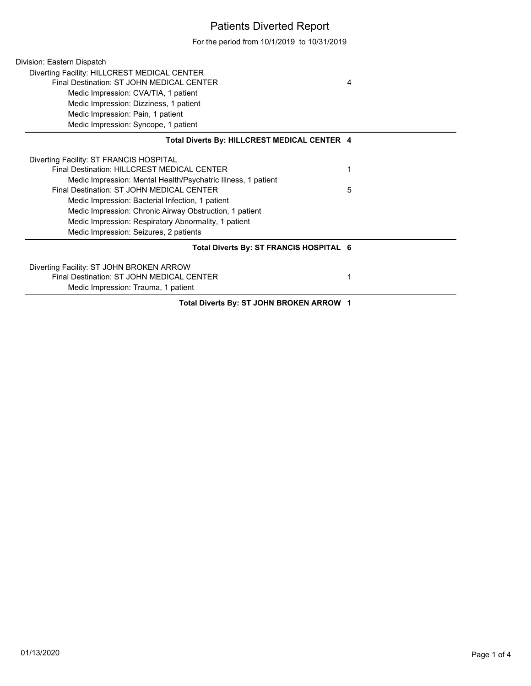## Patients Diverted Report

For the period from 10/1/2019 to 10/31/2019

| Division: Eastern Dispatch                                    |   |  |
|---------------------------------------------------------------|---|--|
| Diverting Facility: HILLCREST MEDICAL CENTER                  |   |  |
| Final Destination: ST JOHN MEDICAL CENTER                     | 4 |  |
| Medic Impression: CVA/TIA, 1 patient                          |   |  |
| Medic Impression: Dizziness, 1 patient                        |   |  |
| Medic Impression: Pain, 1 patient                             |   |  |
| Medic Impression: Syncope, 1 patient                          |   |  |
| Total Diverts By: HILLCREST MEDICAL CENTER 4                  |   |  |
| Diverting Facility: ST FRANCIS HOSPITAL                       |   |  |
| Final Destination: HILLCREST MEDICAL CENTER                   |   |  |
| Medic Impression: Mental Health/Psychatric Illness, 1 patient |   |  |
| Final Destination: ST JOHN MEDICAL CENTER                     | 5 |  |
| Medic Impression: Bacterial Infection, 1 patient              |   |  |
| Medic Impression: Chronic Airway Obstruction, 1 patient       |   |  |
| Medic Impression: Respiratory Abnormality, 1 patient          |   |  |
| Medic Impression: Seizures, 2 patients                        |   |  |
| Total Diverts By: ST FRANCIS HOSPITAL 6                       |   |  |
| Diverting Facility: ST JOHN BROKEN ARROW                      |   |  |
| Final Destination: ST JOHN MEDICAL CENTER                     | 1 |  |
| Medic Impression: Trauma, 1 patient                           |   |  |
| Total Diverts By: ST JOHN BROKEN ARROW 1                      |   |  |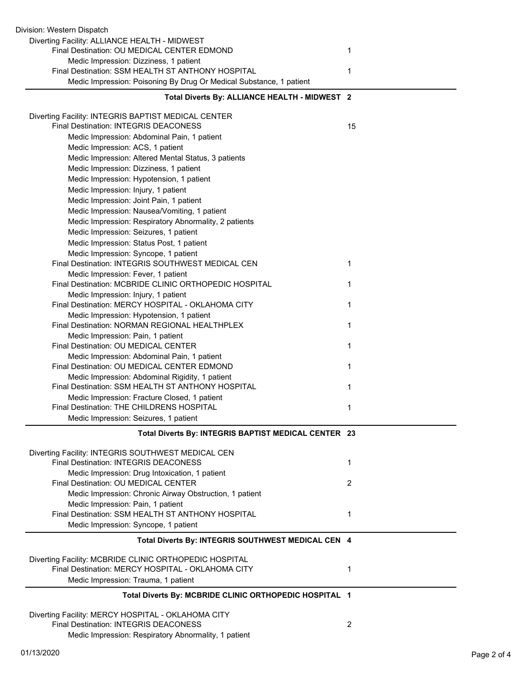| Division: Western Dispatch                                                                   |              |
|----------------------------------------------------------------------------------------------|--------------|
| Diverting Facility: ALLIANCE HEALTH - MIDWEST<br>Final Destination: OU MEDICAL CENTER EDMOND | 1            |
| Medic Impression: Dizziness, 1 patient<br>Final Destination: SSM HEALTH ST ANTHONY HOSPITAL  | 1            |
| Medic Impression: Poisoning By Drug Or Medical Substance, 1 patient                          |              |
| Total Diverts By: ALLIANCE HEALTH - MIDWEST 2                                                |              |
| Diverting Facility: INTEGRIS BAPTIST MEDICAL CENTER                                          |              |
| Final Destination: INTEGRIS DEACONESS                                                        | 15           |
| Medic Impression: Abdominal Pain, 1 patient                                                  |              |
| Medic Impression: ACS, 1 patient                                                             |              |
| Medic Impression: Altered Mental Status, 3 patients                                          |              |
| Medic Impression: Dizziness, 1 patient                                                       |              |
| Medic Impression: Hypotension, 1 patient                                                     |              |
| Medic Impression: Injury, 1 patient                                                          |              |
| Medic Impression: Joint Pain, 1 patient<br>Medic Impression: Nausea/Vomiting, 1 patient      |              |
| Medic Impression: Respiratory Abnormality, 2 patients                                        |              |
| Medic Impression: Seizures, 1 patient                                                        |              |
| Medic Impression: Status Post, 1 patient                                                     |              |
| Medic Impression: Syncope, 1 patient                                                         |              |
| Final Destination: INTEGRIS SOUTHWEST MEDICAL CEN                                            | $\mathbf{1}$ |
| Medic Impression: Fever, 1 patient                                                           |              |
| Final Destination: MCBRIDE CLINIC ORTHOPEDIC HOSPITAL                                        | 1            |
| Medic Impression: Injury, 1 patient                                                          |              |
| Final Destination: MERCY HOSPITAL - OKLAHOMA CITY                                            | 1            |
| Medic Impression: Hypotension, 1 patient                                                     |              |
| Final Destination: NORMAN REGIONAL HEALTHPLEX                                                | 1            |
| Medic Impression: Pain, 1 patient                                                            |              |
| Final Destination: OU MEDICAL CENTER                                                         | 1            |
| Medic Impression: Abdominal Pain, 1 patient<br>Final Destination: OU MEDICAL CENTER EDMOND   | 1            |
| Medic Impression: Abdominal Rigidity, 1 patient                                              |              |
| Final Destination: SSM HEALTH ST ANTHONY HOSPITAL                                            | 1            |
| Medic Impression: Fracture Closed, 1 patient                                                 |              |
| Final Destination: THE CHILDRENS HOSPITAL                                                    | 1            |
| Medic Impression: Seizures, 1 patient                                                        |              |
| Total Diverts By: INTEGRIS BAPTIST MEDICAL CENTER 23                                         |              |
| Diverting Facility: INTEGRIS SOUTHWEST MEDICAL CEN                                           |              |
| Final Destination: INTEGRIS DEACONESS                                                        | 1            |
| Medic Impression: Drug Intoxication, 1 patient                                               |              |
| Final Destination: OU MEDICAL CENTER                                                         | 2            |
| Medic Impression: Chronic Airway Obstruction, 1 patient                                      |              |
| Medic Impression: Pain, 1 patient                                                            |              |
| Final Destination: SSM HEALTH ST ANTHONY HOSPITAL                                            | 1            |
| Medic Impression: Syncope, 1 patient                                                         |              |
| Total Diverts By: INTEGRIS SOUTHWEST MEDICAL CEN 4                                           |              |
| Diverting Facility: MCBRIDE CLINIC ORTHOPEDIC HOSPITAL                                       |              |
| Final Destination: MERCY HOSPITAL - OKLAHOMA CITY                                            | 1            |
| Medic Impression: Trauma, 1 patient                                                          |              |
| Total Diverts By: MCBRIDE CLINIC ORTHOPEDIC HOSPITAL 1                                       |              |
| Diverting Facility: MERCY HOSPITAL - OKLAHOMA CITY                                           |              |
| Final Destination: INTEGRIS DEACONESS                                                        | 2            |
| Medic Impression: Respiratory Abnormality, 1 patient                                         |              |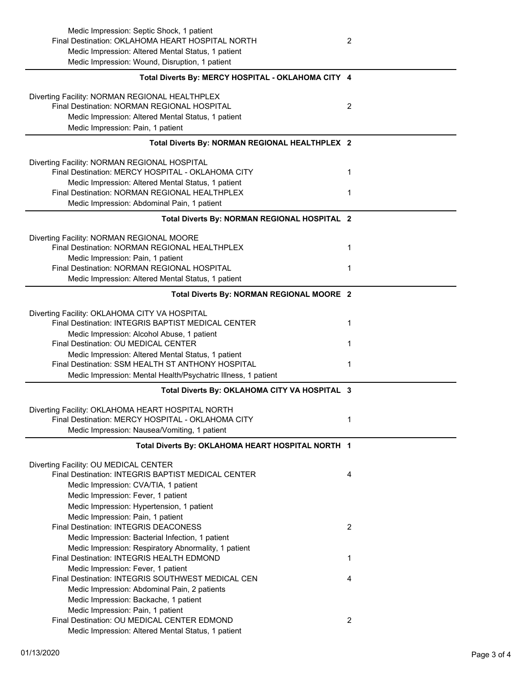| Medic Impression: Septic Shock, 1 patient<br>Final Destination: OKLAHOMA HEART HOSPITAL NORTH<br>Medic Impression: Altered Mental Status, 1 patient<br>Medic Impression: Wound, Disruption, 1 patient | 2              |
|-------------------------------------------------------------------------------------------------------------------------------------------------------------------------------------------------------|----------------|
| Total Diverts By: MERCY HOSPITAL - OKLAHOMA CITY 4                                                                                                                                                    |                |
| Diverting Facility: NORMAN REGIONAL HEALTHPLEX<br>Final Destination: NORMAN REGIONAL HOSPITAL<br>Medic Impression: Altered Mental Status, 1 patient<br>Medic Impression: Pain, 1 patient              | $\overline{2}$ |
| Total Diverts By: NORMAN REGIONAL HEALTHPLEX 2                                                                                                                                                        |                |
| Diverting Facility: NORMAN REGIONAL HOSPITAL<br>Final Destination: MERCY HOSPITAL - OKLAHOMA CITY<br>Medic Impression: Altered Mental Status, 1 patient                                               | 1              |
| Final Destination: NORMAN REGIONAL HEALTHPLEX<br>Medic Impression: Abdominal Pain, 1 patient                                                                                                          | 1              |
| Total Diverts By: NORMAN REGIONAL HOSPITAL 2                                                                                                                                                          |                |
| Diverting Facility: NORMAN REGIONAL MOORE<br>Final Destination: NORMAN REGIONAL HEALTHPLEX<br>Medic Impression: Pain, 1 patient                                                                       | 1              |
| Final Destination: NORMAN REGIONAL HOSPITAL<br>Medic Impression: Altered Mental Status, 1 patient                                                                                                     | 1              |
| Total Diverts By: NORMAN REGIONAL MOORE 2                                                                                                                                                             |                |
| Diverting Facility: OKLAHOMA CITY VA HOSPITAL<br>Final Destination: INTEGRIS BAPTIST MEDICAL CENTER<br>Medic Impression: Alcohol Abuse, 1 patient                                                     | 1              |
| Final Destination: OU MEDICAL CENTER                                                                                                                                                                  | 1              |
| Medic Impression: Altered Mental Status, 1 patient<br>Final Destination: SSM HEALTH ST ANTHONY HOSPITAL<br>Medic Impression: Mental Health/Psychatric Illness, 1 patient                              | 1              |
| Total Diverts By: OKLAHOMA CITY VA HOSPITAL 3                                                                                                                                                         |                |
| Diverting Facility: OKLAHOMA HEART HOSPITAL NORTH<br>Final Destination: MERCY HOSPITAL - OKLAHOMA CITY                                                                                                | 1              |
| Medic Impression: Nausea/Vomiting, 1 patient<br>Total Diverts By: OKLAHOMA HEART HOSPITAL NORTH 1                                                                                                     |                |
| Diverting Facility: OU MEDICAL CENTER<br>Final Destination: INTEGRIS BAPTIST MEDICAL CENTER                                                                                                           | 4              |
| Medic Impression: CVA/TIA, 1 patient<br>Medic Impression: Fever, 1 patient                                                                                                                            |                |
| Medic Impression: Hypertension, 1 patient<br>Medic Impression: Pain, 1 patient                                                                                                                        |                |
| Final Destination: INTEGRIS DEACONESS<br>Medic Impression: Bacterial Infection, 1 patient                                                                                                             | $\overline{2}$ |
| Medic Impression: Respiratory Abnormality, 1 patient<br>Final Destination: INTEGRIS HEALTH EDMOND<br>Medic Impression: Fever, 1 patient                                                               | 1              |
| Final Destination: INTEGRIS SOUTHWEST MEDICAL CEN<br>Medic Impression: Abdominal Pain, 2 patients                                                                                                     | 4              |
| Medic Impression: Backache, 1 patient<br>Medic Impression: Pain, 1 patient<br>Final Destination: OU MEDICAL CENTER EDMOND<br>Medic Impression: Altered Mental Status, 1 patient                       | $\overline{2}$ |
|                                                                                                                                                                                                       |                |